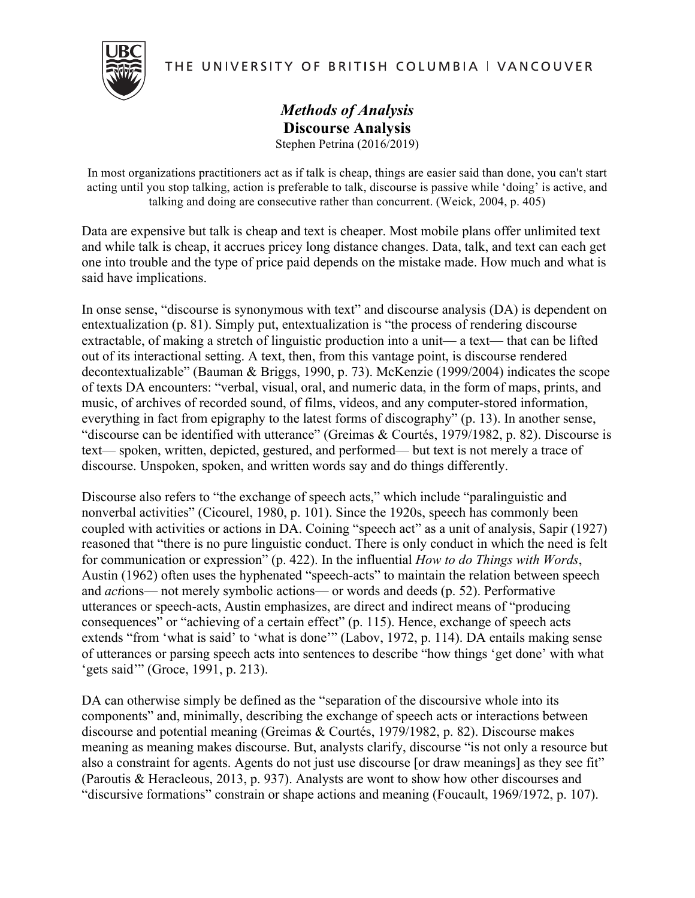THE UNIVERSITY OF BRITISH COLUMBIA | VANCOUVER



## *Methods of Analysis* **Discourse Analysis** Stephen Petrina (2016/2019)

In most organizations practitioners act as if talk is cheap, things are easier said than done, you can't start acting until you stop talking, action is preferable to talk, discourse is passive while 'doing' is active, and talking and doing are consecutive rather than concurrent. (Weick, 2004, p. 405)

Data are expensive but talk is cheap and text is cheaper. Most mobile plans offer unlimited text and while talk is cheap, it accrues pricey long distance changes. Data, talk, and text can each get one into trouble and the type of price paid depends on the mistake made. How much and what is said have implications.

In onse sense, "discourse is synonymous with text" and discourse analysis (DA) is dependent on entextualization (p. 81). Simply put, entextualization is "the process of rendering discourse extractable, of making a stretch of linguistic production into a unit— a text— that can be lifted out of its interactional setting. A text, then, from this vantage point, is discourse rendered decontextualizable" (Bauman & Briggs, 1990, p. 73). McKenzie (1999/2004) indicates the scope of texts DA encounters: "verbal, visual, oral, and numeric data, in the form of maps, prints, and music, of archives of recorded sound, of films, videos, and any computer-stored information, everything in fact from epigraphy to the latest forms of discography" (p. 13). In another sense, "discourse can be identified with utterance" (Greimas & Courtés, 1979/1982, p. 82). Discourse is text— spoken, written, depicted, gestured, and performed— but text is not merely a trace of discourse. Unspoken, spoken, and written words say and do things differently.

Discourse also refers to "the exchange of speech acts," which include "paralinguistic and nonverbal activities" (Cicourel, 1980, p. 101). Since the 1920s, speech has commonly been coupled with activities or actions in DA. Coining "speech act" as a unit of analysis, Sapir (1927) reasoned that "there is no pure linguistic conduct. There is only conduct in which the need is felt for communication or expression" (p. 422). In the influential *How to do Things with Words*, Austin (1962) often uses the hyphenated "speech-acts" to maintain the relation between speech and *act*ions— not merely symbolic actions— or words and deeds (p. 52). Performative utterances or speech-acts, Austin emphasizes, are direct and indirect means of "producing consequences" or "achieving of a certain effect" (p. 115). Hence, exchange of speech acts extends "from 'what is said' to 'what is done'" (Labov, 1972, p. 114). DA entails making sense of utterances or parsing speech acts into sentences to describe "how things 'get done' with what 'gets said'" (Groce, 1991, p. 213).

DA can otherwise simply be defined as the "separation of the discoursive whole into its components" and, minimally, describing the exchange of speech acts or interactions between discourse and potential meaning (Greimas & Courtés, 1979/1982, p. 82). Discourse makes meaning as meaning makes discourse. But, analysts clarify, discourse "is not only a resource but also a constraint for agents. Agents do not just use discourse [or draw meanings] as they see fit" (Paroutis & Heracleous, 2013, p. 937). Analysts are wont to show how other discourses and "discursive formations" constrain or shape actions and meaning (Foucault, 1969/1972, p. 107).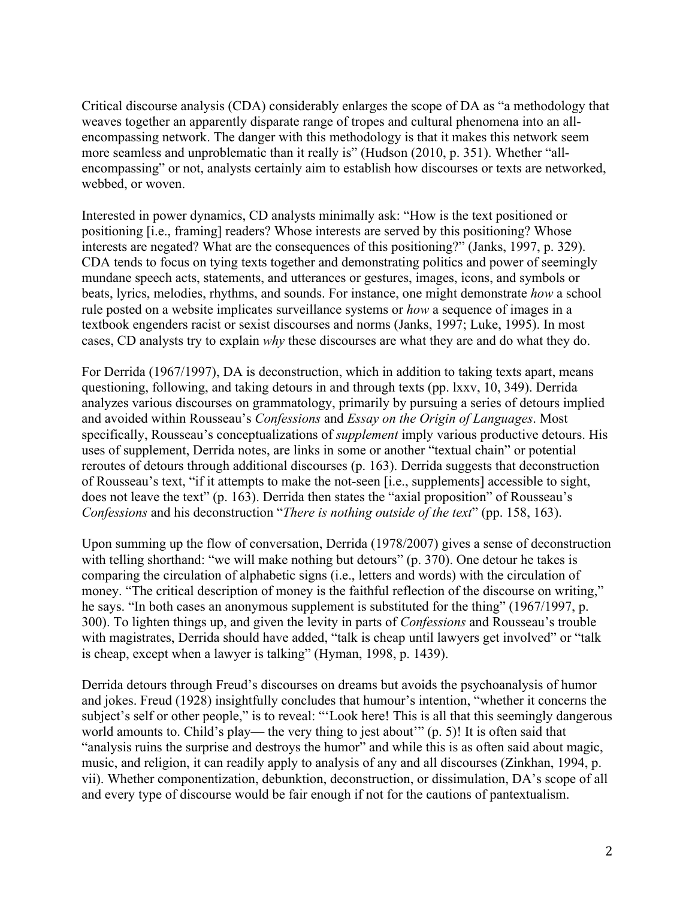Critical discourse analysis (CDA) considerably enlarges the scope of DA as "a methodology that weaves together an apparently disparate range of tropes and cultural phenomena into an allencompassing network. The danger with this methodology is that it makes this network seem more seamless and unproblematic than it really is" (Hudson (2010, p. 351). Whether "allencompassing" or not, analysts certainly aim to establish how discourses or texts are networked, webbed, or woven.

Interested in power dynamics, CD analysts minimally ask: "How is the text positioned or positioning [i.e., framing] readers? Whose interests are served by this positioning? Whose interests are negated? What are the consequences of this positioning?" (Janks, 1997, p. 329). CDA tends to focus on tying texts together and demonstrating politics and power of seemingly mundane speech acts, statements, and utterances or gestures, images, icons, and symbols or beats, lyrics, melodies, rhythms, and sounds. For instance, one might demonstrate *how* a school rule posted on a website implicates surveillance systems or *how* a sequence of images in a textbook engenders racist or sexist discourses and norms (Janks, 1997; Luke, 1995). In most cases, CD analysts try to explain *why* these discourses are what they are and do what they do.

For Derrida (1967/1997), DA is deconstruction, which in addition to taking texts apart, means questioning, following, and taking detours in and through texts (pp. lxxv, 10, 349). Derrida analyzes various discourses on grammatology, primarily by pursuing a series of detours implied and avoided within Rousseau's *Confessions* and *Essay on the Origin of Languages*. Most specifically, Rousseau's conceptualizations of *supplement* imply various productive detours. His uses of supplement, Derrida notes, are links in some or another "textual chain" or potential reroutes of detours through additional discourses (p. 163). Derrida suggests that deconstruction of Rousseau's text, "if it attempts to make the not-seen [i.e., supplements] accessible to sight, does not leave the text" (p. 163). Derrida then states the "axial proposition" of Rousseau's *Confessions* and his deconstruction "*There is nothing outside of the text*" (pp. 158, 163).

Upon summing up the flow of conversation, Derrida (1978/2007) gives a sense of deconstruction with telling shorthand: "we will make nothing but detours" (p. 370). One detour he takes is comparing the circulation of alphabetic signs (i.e., letters and words) with the circulation of money. "The critical description of money is the faithful reflection of the discourse on writing," he says. "In both cases an anonymous supplement is substituted for the thing" (1967/1997, p. 300). To lighten things up, and given the levity in parts of *Confessions* and Rousseau's trouble with magistrates, Derrida should have added, "talk is cheap until lawyers get involved" or "talk" is cheap, except when a lawyer is talking" (Hyman, 1998, p. 1439).

Derrida detours through Freud's discourses on dreams but avoids the psychoanalysis of humor and jokes. Freud (1928) insightfully concludes that humour's intention, "whether it concerns the subject's self or other people," is to reveal: "'Look here! This is all that this seemingly dangerous world amounts to. Child's play— the very thing to jest about'" (p. 5)! It is often said that "analysis ruins the surprise and destroys the humor" and while this is as often said about magic, music, and religion, it can readily apply to analysis of any and all discourses (Zinkhan, 1994, p. vii). Whether componentization, debunktion, deconstruction, or dissimulation, DA's scope of all and every type of discourse would be fair enough if not for the cautions of pantextualism.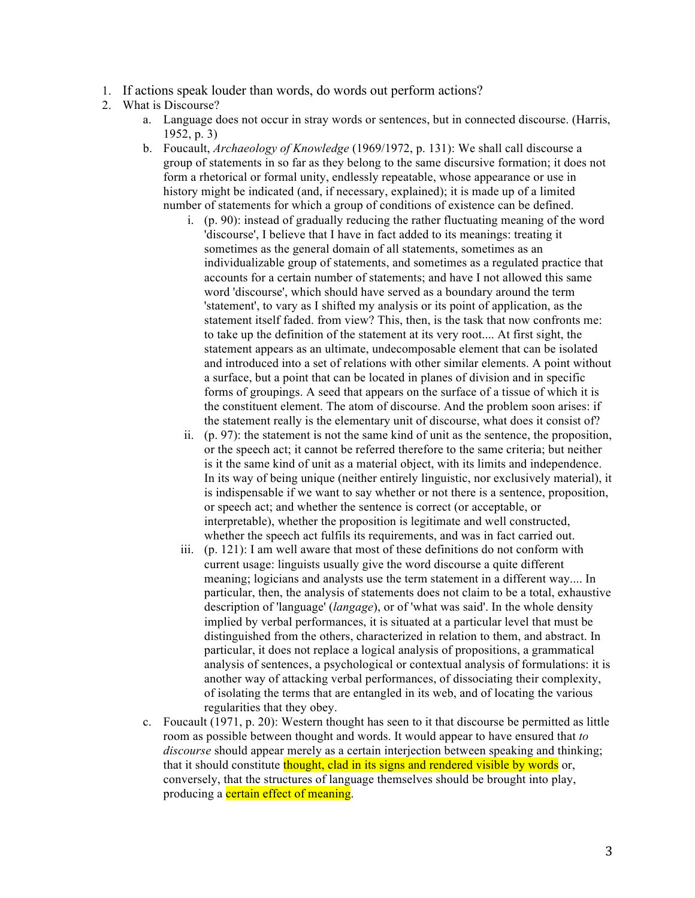- 1. If actions speak louder than words, do words out perform actions?
- 2. What is Discourse?
	- a. Language does not occur in stray words or sentences, but in connected discourse. (Harris, 1952, p. 3)
	- b. Foucault, *Archaeology of Knowledge* (1969/1972, p. 131): We shall call discourse a group of statements in so far as they belong to the same discursive formation; it does not form a rhetorical or formal unity, endlessly repeatable, whose appearance or use in history might be indicated (and, if necessary, explained); it is made up of a limited number of statements for which a group of conditions of existence can be defined.
		- i. (p. 90): instead of gradually reducing the rather fluctuating meaning of the word 'discourse', I believe that I have in fact added to its meanings: treating it sometimes as the general domain of all statements, sometimes as an individualizable group of statements, and sometimes as a regulated practice that accounts for a certain number of statements; and have I not allowed this same word 'discourse', which should have served as a boundary around the term 'statement', to vary as I shifted my analysis or its point of application, as the statement itself faded. from view? This, then, is the task that now confronts me: to take up the definition of the statement at its very root.... At first sight, the statement appears as an ultimate, undecomposable element that can be isolated and introduced into a set of relations with other similar elements. A point without a surface, but a point that can be located in planes of division and in specific forms of groupings. A seed that appears on the surface of a tissue of which it is the constituent element. The atom of discourse. And the problem soon arises: if the statement really is the elementary unit of discourse, what does it consist of?
		- ii. (p. 97): the statement is not the same kind of unit as the sentence, the proposition, or the speech act; it cannot be referred therefore to the same criteria; but neither is it the same kind of unit as a material object, with its limits and independence. In its way of being unique (neither entirely linguistic, nor exclusively material), it is indispensable if we want to say whether or not there is a sentence, proposition, or speech act; and whether the sentence is correct (or acceptable, or interpretable), whether the proposition is legitimate and well constructed, whether the speech act fulfils its requirements, and was in fact carried out.
		- iii. (p. 121): I am well aware that most of these definitions do not conform with current usage: linguists usually give the word discourse a quite different meaning; logicians and analysts use the term statement in a different way.... In particular, then, the analysis of statements does not claim to be a total, exhaustive description of 'language' (*langage*), or of 'what was said'. In the whole density implied by verbal performances, it is situated at a particular level that must be distinguished from the others, characterized in relation to them, and abstract. In particular, it does not replace a logical analysis of propositions, a grammatical analysis of sentences, a psychological or contextual analysis of formulations: it is another way of attacking verbal performances, of dissociating their complexity, of isolating the terms that are entangled in its web, and of locating the various regularities that they obey.
	- c. Foucault (1971, p. 20): Western thought has seen to it that discourse be permitted as little room as possible between thought and words. It would appear to have ensured that *to discourse* should appear merely as a certain interjection between speaking and thinking; that it should constitute thought, clad in its signs and rendered visible by words or, conversely, that the structures of language themselves should be brought into play, producing a **certain effect of meaning**.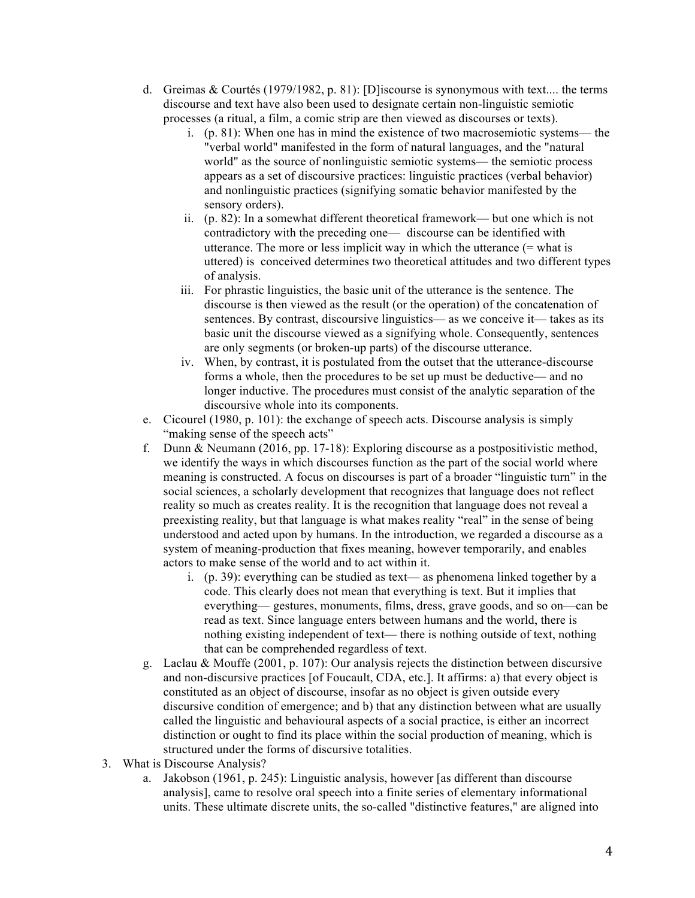- d. Greimas & Courtés (1979/1982, p. 81): [D]iscourse is synonymous with text.... the terms discourse and text have also been used to designate certain non-linguistic semiotic processes (a ritual, a film, a comic strip are then viewed as discourses or texts).
	- i. (p. 81): When one has in mind the existence of two macrosemiotic systems— the "verbal world" manifested in the form of natural languages, and the "natural world" as the source of nonlinguistic semiotic systems— the semiotic process appears as a set of discoursive practices: linguistic practices (verbal behavior) and nonlinguistic practices (signifying somatic behavior manifested by the sensory orders).
	- ii. (p. 82): In a somewhat different theoretical framework— but one which is not contradictory with the preceding one— discourse can be identified with utterance. The more or less implicit way in which the utterance (= what is uttered) is conceived determines two theoretical attitudes and two different types of analysis.
	- iii. For phrastic linguistics, the basic unit of the utterance is the sentence. The discourse is then viewed as the result (or the operation) of the concatenation of sentences. By contrast, discoursive linguistics— as we conceive it— takes as its basic unit the discourse viewed as a signifying whole. Consequently, sentences are only segments (or broken-up parts) of the discourse utterance.
	- iv. When, by contrast, it is postulated from the outset that the utterance-discourse forms a whole, then the procedures to be set up must be deductive— and no longer inductive. The procedures must consist of the analytic separation of the discoursive whole into its components.
- e. Cicourel (1980, p. 101): the exchange of speech acts. Discourse analysis is simply "making sense of the speech acts"
- f. Dunn & Neumann (2016, pp. 17-18): Exploring discourse as a postpositivistic method, we identify the ways in which discourses function as the part of the social world where meaning is constructed. A focus on discourses is part of a broader "linguistic turn" in the social sciences, a scholarly development that recognizes that language does not reflect reality so much as creates reality. It is the recognition that language does not reveal a preexisting reality, but that language is what makes reality "real" in the sense of being understood and acted upon by humans. In the introduction, we regarded a discourse as a system of meaning-production that fixes meaning, however temporarily, and enables actors to make sense of the world and to act within it.
	- i. (p. 39): everything can be studied as text— as phenomena linked together by a code. This clearly does not mean that everything is text. But it implies that everything— gestures, monuments, films, dress, grave goods, and so on—can be read as text. Since language enters between humans and the world, there is nothing existing independent of text— there is nothing outside of text, nothing that can be comprehended regardless of text.
- g. Laclau & Mouffe (2001, p. 107): Our analysis rejects the distinction between discursive and non-discursive practices [of Foucault, CDA, etc.]. It affirms: a) that every object is constituted as an object of discourse, insofar as no object is given outside every discursive condition of emergence; and b) that any distinction between what are usually called the linguistic and behavioural aspects of a social practice, is either an incorrect distinction or ought to find its place within the social production of meaning, which is structured under the forms of discursive totalities.
- 3. What is Discourse Analysis?
	- a. Jakobson (1961, p. 245): Linguistic analysis, however [as different than discourse analysis], came to resolve oral speech into a finite series of elementary informational units. These ultimate discrete units, the so-called "distinctive features," are aligned into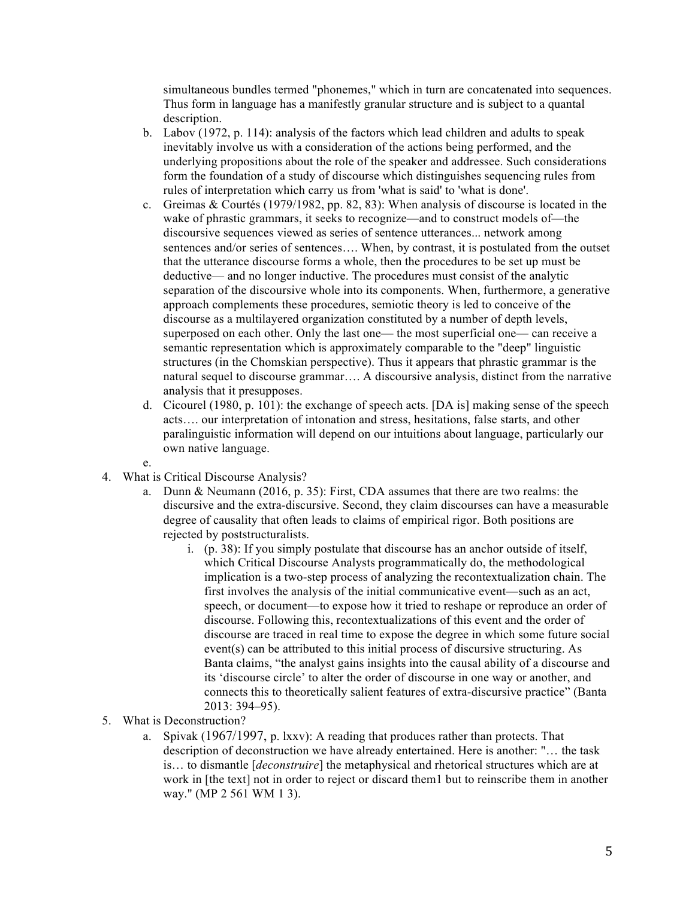simultaneous bundles termed "phonemes," which in turn are concatenated into sequences. Thus form in language has a manifestly granular structure and is subject to a quantal description.

- b. Labov (1972, p. 114): analysis of the factors which lead children and adults to speak inevitably involve us with a consideration of the actions being performed, and the underlying propositions about the role of the speaker and addressee. Such considerations form the foundation of a study of discourse which distinguishes sequencing rules from rules of interpretation which carry us from 'what is said' to 'what is done'.
- c. Greimas & Courtés (1979/1982, pp. 82, 83): When analysis of discourse is located in the wake of phrastic grammars, it seeks to recognize—and to construct models of—the discoursive sequences viewed as series of sentence utterances... network among sentences and/or series of sentences…. When, by contrast, it is postulated from the outset that the utterance discourse forms a whole, then the procedures to be set up must be deductive— and no longer inductive. The procedures must consist of the analytic separation of the discoursive whole into its components. When, furthermore, a generative approach complements these procedures, semiotic theory is led to conceive of the discourse as a multilayered organization constituted by a number of depth levels, superposed on each other. Only the last one— the most superficial one— can receive a semantic representation which is approximately comparable to the "deep" linguistic structures (in the Chomskian perspective). Thus it appears that phrastic grammar is the natural sequel to discourse grammar…. A discoursive analysis, distinct from the narrative analysis that it presupposes.
- d. Cicourel (1980, p. 101): the exchange of speech acts. [DA is] making sense of the speech acts…. our interpretation of intonation and stress, hesitations, false starts, and other paralinguistic information will depend on our intuitions about language, particularly our own native language.
- e.
- 4. What is Critical Discourse Analysis?
	- a. Dunn & Neumann (2016, p. 35): First, CDA assumes that there are two realms: the discursive and the extra-discursive. Second, they claim discourses can have a measurable degree of causality that often leads to claims of empirical rigor. Both positions are rejected by poststructuralists.
		- i. (p. 38): If you simply postulate that discourse has an anchor outside of itself, which Critical Discourse Analysts programmatically do, the methodological implication is a two-step process of analyzing the recontextualization chain. The first involves the analysis of the initial communicative event—such as an act, speech, or document—to expose how it tried to reshape or reproduce an order of discourse. Following this, recontextualizations of this event and the order of discourse are traced in real time to expose the degree in which some future social event(s) can be attributed to this initial process of discursive structuring. As Banta claims, "the analyst gains insights into the causal ability of a discourse and its 'discourse circle' to alter the order of discourse in one way or another, and connects this to theoretically salient features of extra-discursive practice" (Banta 2013: 394–95).
- 5. What is Deconstruction?
	- a. Spivak (1967/1997, p. lxxv): A reading that produces rather than protects. That description of deconstruction we have already entertained. Here is another: "… the task is… to dismantle [*deconstruire*] the metaphysical and rhetorical structures which are at work in [the text] not in order to reject or discard them1 but to reinscribe them in another way." (MP 2 561 WM 1 3).